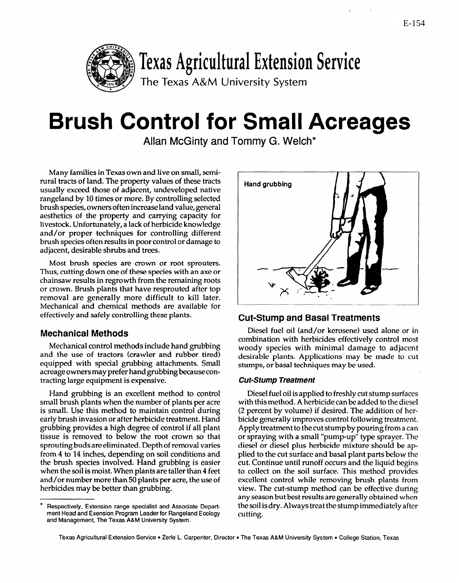

# **Brush Control for Small Acreages**

Allan McGinty and Tommy G. Welch\*

Many families in Texas own and live on small, semirural tracts of land. The property values of these tracts usually exceed those of adjacent, undeveloped native rangeland by 10 times or more. By controlling selected brush species, owners often increase land value, general aesthetics of the property and carrying capacity for livestock. Unfortunately, a lack of herbicide knowledge and/or proper techniques for controlling different brush species often results in poor control or damage to adjacent, desirable shrubs and trees.

Most brush species are crown or root sprouters. Thus, cutting down one of these species with an axe or chainsaw results in regrowth from the remaining roots or crown. Brush plants that have resprouted after top removal are generally more difficult to kill later. Mechanical and chemical methods are available for effectively and safely controlling these plants.

## **Mechanical Methods**

Mechanical control methods include hand grubbing and the use of tractors (crawler and rubber tired) equipped with special grubbing attachments. Small acreage owners may prefer hand grubbing because contracting large equipment is expensive.

Hand grubbing is an excellent method to control small brush plants when the number of plants per acre is small. Use this method to maintain control during early brush invasion or after herbicide treatment. Hand grubbing provides a high degree of control if all plant tissue is removed to below the root crown so that sprouting buds are eliminated. Depth of removal varies from 4 to 14 inches, depending on soil conditions and the brush species involved. Hand grubbing is easier when the soil is moist. When plants are taller than 4 feet and/or number more than 50 plants per acre, the use of herbicides may be better than grubbing.



## **Cut-Stump and Basal Treatments**

Diesel fuel oil (and/or kerosene) used alone or in combination with herbicides effectively control most woody species with minimal damage to adjacent desirable plants. Applications may be made to cut stumps, or basal techniques may be used.

## **Cut-Stump Treatment**

Diesel fuel oil is applied to freshly cut stump surfaces with this method. A herbicide can be added to the diesel (2 percent by volume) if desired. The addition of herbicide generally improves control following treatment. Apply treatment to the cut stump by pouring from a can or spraying with a small "pump-up" type sprayer. The diesel or diesel plus herbicide mixture should be applied to the cut surface and basal plant parts below the cut. Continue until runoff occurs and the liquid begins to collect on the soil surface. This method provides excellent control while removing brush plants from view. The cut-stump method can be effective during any season but best results are generally obtained when the soil is dry. Always treat the stump immediately after cutting.

<sup>●</sup> **Respectively, Extension range specialist and Associate Department Head and Exension Program Leader for Rangeland Ecology and Management, The Texas A&M University System.**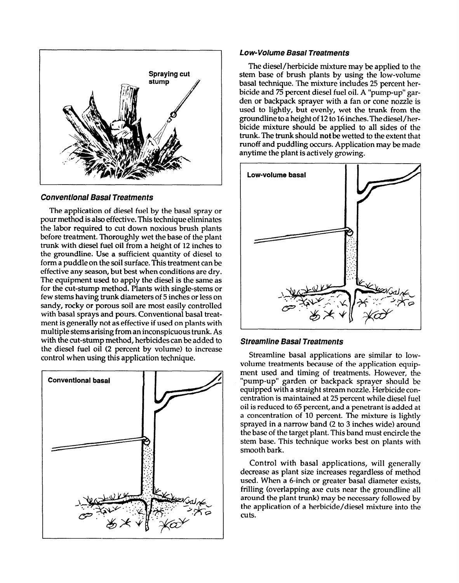

#### **conventional Basal Treatments**

The application of diesel fuel by the basal spray or pourmethod is also effective. This technique eliminates the labor required to cut down noxious' brush plants before treatment. Thoroughly wet the base of the plant trunk with diesel fuel oil from a height of 12 inches to the groundline. Use a sufficient quantity of diesel to form a puddle on the soil surface. This treatment can be effective any season, but best when conditions are dry. The equipment used to apply the diesel is the same as for the cut-stump method. Plants with single-stems or few stems having trunk diameters of 5 inches or lesson sandy, rocky or porous soil are most easily controlled with basal sprays and pours. Conventional basal treatment isgenerally not as effective if used on plants with multiple stems arising from an inconspicuous trunk. As with the cut-stump method, herbicides can be added to the diesel fuel oil (2 percent by volume) to increase control when using this application technique.



#### **Low-Volume Basal Treatments**

The diesel/herbicide mixture may be applied to the stem base of brush plants by using the low-volume basal technique. The mixture includes 25 percent herbicide and 75 percent diesel fuel oil. A "pump-up" garden or backpack sprayer with a fan or cone nozzle is used to lightly, but evenly, wet the trunk from the groundline to a height of 12 to 16 inches. The diesel/herbicide mixture should be applied to all sides of the trunk. The trunk should not be wetted to the extent that runoff and puddling occurs. Application may be made anytime the plant is actively growing.



#### **Streamline Basal Treatments**

Streamline basal applications are similar to lowvolume treatments because of the application equipment used and timing of treatments. However, the "pump-up" garden or backpack sprayer should be equipped with a straight stream nozzle. Herbicide concentration is maintained at 25 percent while diesel fuel oil is reduced to 65 percent, and a penetrant is added at a concentration of 10 percent. The mixture is lightly sprayed in a narrow band (2 to 3 inches wide) around the base of the target plant. This band must encircle the stem base. This technique works best on plants with smooth bark.

Control with basal applications, will generally decrease as plant size increases regardless of method used. When a 6-inch or greater basal diameter exists, frilling (overlapping axe cuts near the groundline all around the plant trunk) may be necessary followed by the application of a herbicide/diesel mixture into the cuts.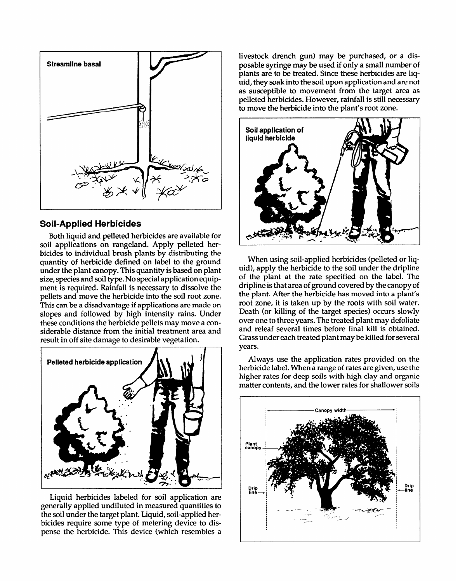

## **Soil-Applied Herbicides**

Both liquid and pelleted herbicides are available for soil applications on rangeland. Apply pelleted herbicides to individual brush plants by distributing the quantity of herbicide defined on label to the ground under the plant canopy. This quantity is based on plant size, species and soil type. No special application equipment is required. Rainfall is necessary to dissolve the pellets and move the herbicide into the soil root zone. This can be a disadvantage if applications are made on slopes and followed by high intensity rains. Under these conditions the herbicide pellets may move a considerable distance from the initial treatment area and result in off site damage to desirable vegetation.



Liquid herbicides labeled for soil application are generally applied undiluted in measured quantities to the soil under the target plant. Liquid, soil-applied herbicides require some type of metering device to dispense the herbicide. This device (which resembles a

livestock drench gun) may be purchased, or a disposable syringe may be used if only a small number of plants are to be treated. Since these herbicides are liquid, they soak into the soil upon application and are not as susceptible to movement from the target area as pelleted herbicides. However, rainfall is still necessarv to move the herbicide into the plant's root zone.



When using soil-applied herbicides (pelleted or liquid), apply the herbicide to the soil under the dripline of the plant at the rate specified on the label. The dripline is that area of ground covered by the canopy of the plant. After the herbicide has moved into a plant's root zone, it is taken up by the roots with soil water. Death (or killing of the target species) occurs slowly over one to three years. The treated plant may defoliate and releaf several times before final kill is obtained. Grass under each treated plant may be killed for several years.

Always use the application rates provided on the herbicide label. When a range of rates are given, use the higher rates for deep soils with high clay and organic matter contents, and the lower rates for shallower soils